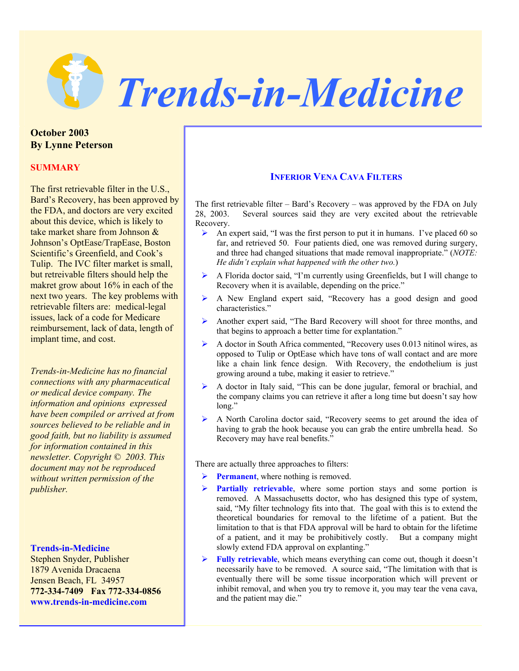

**October 2003 By Lynne Peterson** 

# **SUMMARY**

The first retrievable filter in the U.S., Bard's Recovery, has been approved by the FDA, and doctors are very excited about this device, which is likely to take market share from Johnson & Johnson's OptEase/TrapEase, Boston Scientific's Greenfield, and Cook's Tulip. The IVC filter market is small, but retreivable filters should help the makret grow about 16% in each of the next two years. The key problems with retrievable filters are: medical-legal issues, lack of a code for Medicare reimbursement, lack of data, length of implant time, and cost.

*Trends-in-Medicine has no financial connections with any pharmaceutical or medical device company. The information and opinions expressed have been compiled or arrived at from sources believed to be reliable and in good faith, but no liability is assumed for information contained in this newsletter. Copyright © 2003. This document may not be reproduced without written permission of the publisher.*

## **Trends-in-Medicine**

Stephen Snyder, Publisher 1879 Avenida Dracaena Jensen Beach, FL 34957 **772-334-7409 Fax 772-334-0856 www.trends-in-medicine.com**

# **INFERIOR VENA CAVA FILTERS**

The first retrievable filter – Bard's Recovery – was approved by the FDA on July 28, 2003. Several sources said they are very excited about the retrievable Recovery.

- $\blacktriangleright$  An expert said, "I was the first person to put it in humans. I've placed 60 so far, and retrieved 50. Four patients died, one was removed during surgery, and three had changed situations that made removal inappropriate." (*NOTE: He didn't explain what happened with the other two.*)
- ¾ A Florida doctor said, "I'm currently using Greenfields, but I will change to Recovery when it is available, depending on the price."
- ¾ A New England expert said, "Recovery has a good design and good characteristics."
- ¾ Another expert said, "The Bard Recovery will shoot for three months, and that begins to approach a better time for explantation."
- ¾ A doctor in South Africa commented, "Recovery uses 0.013 nitinol wires, as opposed to Tulip or OptEase which have tons of wall contact and are more like a chain link fence design. With Recovery, the endothelium is just growing around a tube, making it easier to retrieve."
- ¾ A doctor in Italy said, "This can be done jugular, femoral or brachial, and the company claims you can retrieve it after a long time but doesn't say how long."
- ¾ A North Carolina doctor said, "Recovery seems to get around the idea of having to grab the hook because you can grab the entire umbrella head. So Recovery may have real benefits."

There are actually three approaches to filters:

- ¾ **Permanent**, where nothing is removed.
- ¾ **Partially retrievable**, where some portion stays and some portion is removed. A Massachusetts doctor, who has designed this type of system, said, "My filter technology fits into that. The goal with this is to extend the theoretical boundaries for removal to the lifetime of a patient. But the limitation to that is that FDA approval will be hard to obtain for the lifetime of a patient, and it may be prohibitively costly. But a company might slowly extend FDA approval on explanting."
- ¾ **Fully retrievable**, which means everything can come out, though it doesn't necessarily have to be removed. A source said, "The limitation with that is eventually there will be some tissue incorporation which will prevent or inhibit removal, and when you try to remove it, you may tear the vena cava, and the patient may die."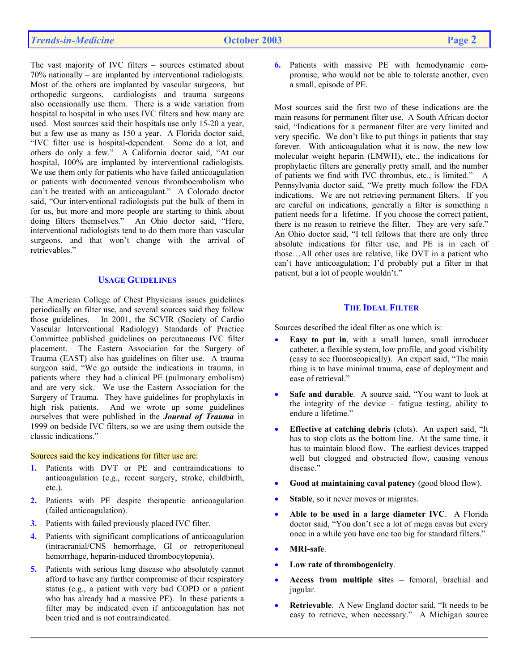The vast majority of IVC filters – sources estimated about 70% nationally – are implanted by interventional radiologists. Most of the others are implanted by vascular surgeons, but orthopedic surgeons, cardiologists and trauma surgeons also occasionally use them. There is a wide variation from hospital to hospital in who uses IVC filters and how many are used. Most sources said their hospitals use only 15-20 a year, but a few use as many as 150 a year. A Florida doctor said, "IVC filter use is hospital-dependent. Some do a lot, and others do only a few." A California doctor said, "At our hospital, 100% are implanted by interventional radiologists. We use them only for patients who have failed anticoagulation or patients with documented venous thromboembolism who can't be treated with an anticoagulant." A Colorado doctor said, "Our interventional radiologists put the bulk of them in for us, but more and more people are starting to think about doing filters themselves." An Ohio doctor said, "Here, interventional radiologists tend to do them more than vascular surgeons, and that won't change with the arrival of retrievables."

## **USAGE GUIDELINES**

The American College of Chest Physicians issues guidelines periodically on filter use, and several sources said they follow those guidelines. In 2001, the SCVIR (Society of Cardio Vascular Interventional Radiology) Standards of Practice Committee published guidelines on percutaneous IVC filter placement. The Eastern Association for the Surgery of Trauma (EAST) also has guidelines on filter use. A trauma surgeon said, "We go outside the indications in trauma, in patients where they had a clinical PE (pulmonary embolism) and are very sick. We use the Eastern Association for the Surgery of Trauma. They have guidelines for prophylaxis in high risk patients. And we wrote up some guidelines ourselves that were published in the *Journal of Trauma* in 1999 on bedside IVC filters, so we are using them outside the classic indications."

#### Sources said the key indications for filter use are:

- **1.** Patients with DVT or PE and contraindications to anticoagulation (e.g., recent surgery, stroke, childbirth, etc.).
- **2.** Patients with PE despite therapeutic anticoagulation (failed anticoagulation).
- **3.** Patients with failed previously placed IVC filter.
- **4.** Patients with significant complications of anticoagulation (intracranial/CNS hemorrhage, GI or retroperitoneal hemorrhage, heparin-induced thrombocytopenia).
- **5.** Patients with serious lung disease who absolutely cannot afford to have any further compromise of their respiratory status (e.g., a patient with very bad COPD or a patient who has already had a massive PE). In these patients a filter may be indicated even if anticoagulation has not been tried and is not contraindicated.

**6.** Patients with massive PE with hemodynamic compromise, who would not be able to tolerate another, even a small, episode of PE.

Most sources said the first two of these indications are the main reasons for permanent filter use. A South African doctor said, "Indications for a permanent filter are very limited and very specific. We don't like to put things in patients that stay forever. With anticoagulation what it is now, the new low molecular weight heparin (LMWH), etc., the indications for prophylactic filters are generally pretty small, and the number of patients we find with IVC thrombus, etc., is limited." A Pennsylvania doctor said, "We pretty much follow the FDA indications. We are not retrieving permanent filters. If you are careful on indications, generally a filter is something a patient needs for a lifetime. If you choose the correct patient, there is no reason to retrieve the filter. They are very safe." An Ohio doctor said, "I tell fellows that there are only three absolute indications for filter use, and PE is in each of those…All other uses are relative, like DVT in a patient who can't have anticoagulation; I'd probably put a filter in that patient, but a lot of people wouldn't."

## **THE IDEAL FILTER**

Sources described the ideal filter as one which is:

- **Easy to put in**, with a small lumen, small introducer catheter, a flexible system, low profile, and good visibility (easy to see fluoroscopically). An expert said, "The main thing is to have minimal trauma, ease of deployment and ease of retrieval."
- Safe and durable. A source said, "You want to look at the integrity of the device – fatigue testing, ability to endure a lifetime."
- **Effective at catching debris** (clots). An expert said, "It has to stop clots as the bottom line. At the same time, it has to maintain blood flow. The earliest devices trapped well but clogged and obstructed flow, causing venous disease"
- **Good at maintaining caval patency** (good blood flow).
- Stable, so it never moves or migrates.
- **Able to be used in a large diameter IVC**. A Florida doctor said, "You don't see a lot of mega cavas but every once in a while you have one too big for standard filters."
- **MRI-safe**.
- **Low rate of thrombogenicity**.
- **Access from multiple site**s femoral, brachial and jugular.
- **Retrievable**. A New England doctor said, "It needs to be easy to retrieve, when necessary." A Michigan source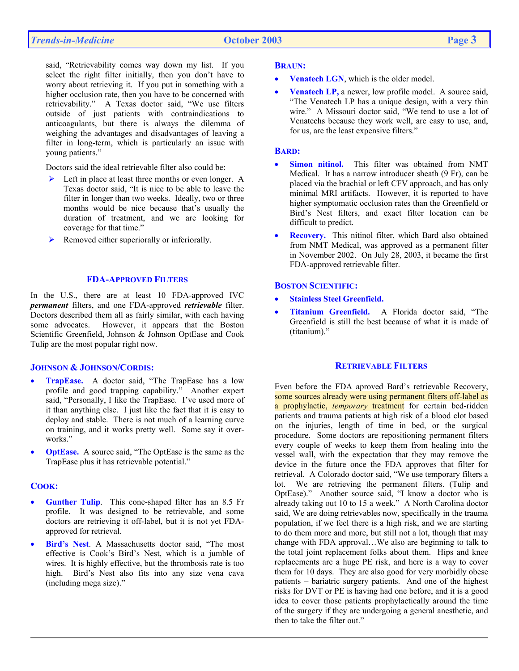said, "Retrievability comes way down my list. If you select the right filter initially, then you don't have to worry about retrieving it. If you put in something with a higher occlusion rate, then you have to be concerned with retrievability." A Texas doctor said, "We use filters outside of just patients with contraindications to anticoagulants, but there is always the dilemma of weighing the advantages and disadvantages of leaving a filter in long-term, which is particularly an issue with young patients."

Doctors said the ideal retrievable filter also could be:

- $\triangleright$  Left in place at least three months or even longer. A Texas doctor said, "It is nice to be able to leave the filter in longer than two weeks. Ideally, two or three months would be nice because that's usually the duration of treatment, and we are looking for coverage for that time."
- $\triangleright$  Removed either superiorally or inferiorally.

## **FDA-APPROVED FILTERS**

In the U.S., there are at least 10 FDA-approved IVC *permanent* filters, and one FDA-approved *retrievable* filter. Doctors described them all as fairly similar, with each having some advocates. However, it appears that the Boston Scientific Greenfield, Johnson & Johnson OptEase and Cook Tulip are the most popular right now.

#### **JOHNSON & JOHNSON/CORDIS:**

- **TrapEase.** A doctor said, "The TrapEase has a low profile and good trapping capability." Another expert said, "Personally, I like the TrapEase. I've used more of it than anything else. I just like the fact that it is easy to deploy and stable. There is not much of a learning curve on training, and it works pretty well. Some say it overworks."
- **OptEase.** A source said, "The OptEase is the same as the TrapEase plus it has retrievable potential."

## **COOK:**

- **Gunther Tulip**. This cone-shaped filter has an 8.5 Fr profile. It was designed to be retrievable, and some doctors are retrieving it off-label, but it is not yet FDAapproved for retrieval.
- **Bird's Nest**. A Massachusetts doctor said, "The most effective is Cook's Bird's Nest, which is a jumble of wires. It is highly effective, but the thrombosis rate is too high. Bird's Nest also fits into any size vena cava (including mega size)."

#### **BRAUN:**

- **Venatech LGN**, which is the older model.
- **Venatech LP, a newer, low profile model.** A source said, "The Venatech LP has a unique design, with a very thin wire." A Missouri doctor said, "We tend to use a lot of Venatechs because they work well, are easy to use, and, for us, are the least expensive filters."

#### **BARD:**

- **Simon nitinol.** This filter was obtained from NMT Medical. It has a narrow introducer sheath (9 Fr), can be placed via the brachial or left CFV approach, and has only minimal MRI artifacts. However, it is reported to have higher symptomatic occlusion rates than the Greenfield or Bird's Nest filters, and exact filter location can be difficult to predict.
- **Recovery.** This nitinol filter, which Bard also obtained from NMT Medical, was approved as a permanent filter in November 2002. On July 28, 2003, it became the first FDA-approved retrievable filter.

#### **BOSTON SCIENTIFIC:**

- **Stainless Steel Greenfield.**
- **Titanium Greenfield.** A Florida doctor said, "The Greenfield is still the best because of what it is made of (titanium)."

## **RETRIEVABLE FILTERS**

Even before the FDA aproved Bard's retrievable Recovery, some sources already were using permanent filters off-label as a prophylactic, *temporary* treatment for certain bed-ridden patients and trauma patients at high risk of a blood clot based on the injuries, length of time in bed, or the surgical procedure. Some doctors are repositioning permanent filters every couple of weeks to keep them from healing into the vessel wall, with the expectation that they may remove the device in the future once the FDA approves that filter for retrieval. A Colorado doctor said, "We use temporary filters a lot. We are retrieving the permanent filters. (Tulip and OptEase)." Another source said, "I know a doctor who is already taking out 10 to 15 a week." A North Carolina doctor said, We are doing retrievables now, specifically in the trauma population, if we feel there is a high risk, and we are starting to do them more and more, but still not a lot, though that may change with FDA approval…We also are beginning to talk to the total joint replacement folks about them. Hips and knee replacements are a huge PE risk, and here is a way to cover them for 10 days. They are also good for very morbidly obese patients – bariatric surgery patients. And one of the highest risks for DVT or PE is having had one before, and it is a good idea to cover those patients prophylactically around the time of the surgery if they are undergoing a general anesthetic, and then to take the filter out."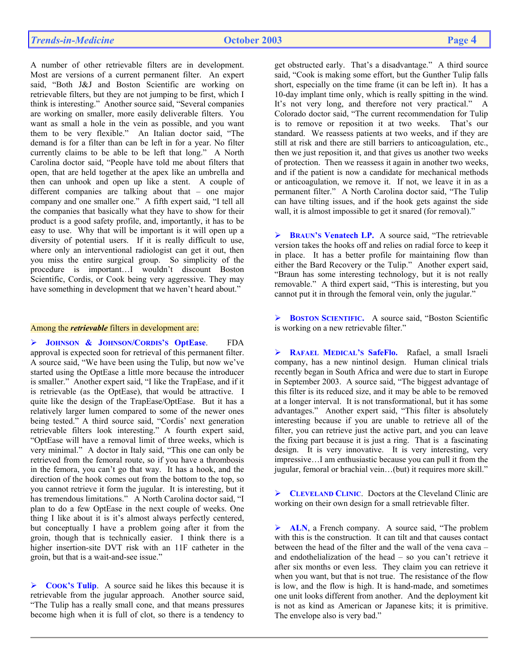A number of other retrievable filters are in development. Most are versions of a current permanent filter. An expert said, "Both J&J and Boston Scientific are working on retrievable filters, but they are not jumping to be first, which I think is interesting." Another source said, "Several companies are working on smaller, more easily deliverable filters. You want as small a hole in the vein as possible, and you want them to be very flexible." An Italian doctor said, "The demand is for a filter than can be left in for a year. No filter currently claims to be able to be left that long." A North Carolina doctor said, "People have told me about filters that open, that are held together at the apex like an umbrella and then can unhook and open up like a stent. A couple of different companies are talking about that – one major company and one smaller one." A fifth expert said, "I tell all the companies that basically what they have to show for their product is a good safety profile, and, importantly, it has to be easy to use. Why that will be important is it will open up a diversity of potential users. If it is really difficult to use, where only an interventional radiologist can get it out, then you miss the entire surgical group. So simplicity of the procedure is important…I wouldn't discount Boston Scientific, Cordis, or Cook being very aggressive. They may have something in development that we haven't heard about."

#### Among the *retrievable* filters in development are:

¾ **JOHNSON & JOHNSON/CORDIS'S OptEase**. FDA approval is expected soon for retrieval of this permanent filter. A source said, "We have been using the Tulip, but now we've started using the OptEase a little more because the introducer is smaller." Another expert said, "I like the TrapEase, and if it is retrievable (as the OptEase), that would be attractive. I quite like the design of the TrapEase/OptEase. But it has a relatively larger lumen compared to some of the newer ones being tested." A third source said, "Cordis' next generation retrievable filters look interesting." A fourth expert said, "OptEase will have a removal limit of three weeks, which is very minimal." A doctor in Italy said, "This one can only be retrieved from the femoral route, so if you have a thrombosis in the femora, you can't go that way. It has a hook, and the direction of the hook comes out from the bottom to the top, so you cannot retrieve it form the jugular. It is interesting, but it has tremendous limitations." A North Carolina doctor said, "I plan to do a few OptEase in the next couple of weeks. One thing I like about it is it's almost always perfectly centered, but conceptually I have a problem going after it from the groin, though that is technically easier. I think there is a higher insertion-site DVT risk with an 11F catheter in the groin, but that is a wait-and-see issue."

¾ **COOK'S Tulip**. A source said he likes this because it is retrievable from the jugular approach. Another source said, "The Tulip has a really small cone, and that means pressures become high when it is full of clot, so there is a tendency to

get obstructed early. That's a disadvantage." A third source said, "Cook is making some effort, but the Gunther Tulip falls short, especially on the time frame (it can be left in). It has a 10-day implant time only, which is really spitting in the wind. It's not very long, and therefore not very practical." A Colorado doctor said, "The current recommendation for Tulip is to remove or reposition it at two weeks. That's our standard. We reassess patients at two weeks, and if they are still at risk and there are still barriers to anticoagulation, etc., then we just reposition it, and that gives us another two weeks of protection. Then we reassess it again in another two weeks, and if the patient is now a candidate for mechanical methods or anticoagulation, we remove it. If not, we leave it in as a permanent filter." A North Carolina doctor said, "The Tulip can have tilting issues, and if the hook gets against the side wall, it is almost impossible to get it snared (for removal)."

¾ **BRAUN'S Venatech LP.** A source said, "The retrievable version takes the hooks off and relies on radial force to keep it in place. It has a better profile for maintaining flow than either the Bard Recovery or the Tulip." Another expert said, "Braun has some interesting technology, but it is not really removable." A third expert said, "This is interesting, but you cannot put it in through the femoral vein, only the jugular."

¾ **BOSTON SCIENTIFIC.** A source said, "Boston Scientific is working on a new retrievable filter."

¾ **RAFAEL MEDICAL'S SafeFlo.** Rafael, a small Israeli company, has a new nintinol design. Human clinical trials recently began in South Africa and were due to start in Europe in September 2003. A source said, "The biggest advantage of this filter is its reduced size, and it may be able to be removed at a longer interval. It is not transformational, but it has some advantages." Another expert said, "This filter is absolutely interesting because if you are unable to retrieve all of the filter, you can retrieve just the active part, and you can leave the fixing part because it is just a ring. That is a fascinating design. It is very innovative. It is very interesting, very impressive…I am enthusiastic because you can pull it from the jugular, femoral or brachial vein…(but) it requires more skill."

¾ **CLEVELAND CLINIC**. Doctors at the Cleveland Clinic are working on their own design for a small retrievable filter.

¾ **ALN**, a French company. A source said, "The problem with this is the construction. It can tilt and that causes contact between the head of the filter and the wall of the vena cava – and endothelialization of the head – so you can't retrieve it after six months or even less. They claim you can retrieve it when you want, but that is not true. The resistance of the flow is low, and the flow is high. It is hand-made, and sometimes one unit looks different from another. And the deployment kit is not as kind as American or Japanese kits; it is primitive. The envelope also is very bad."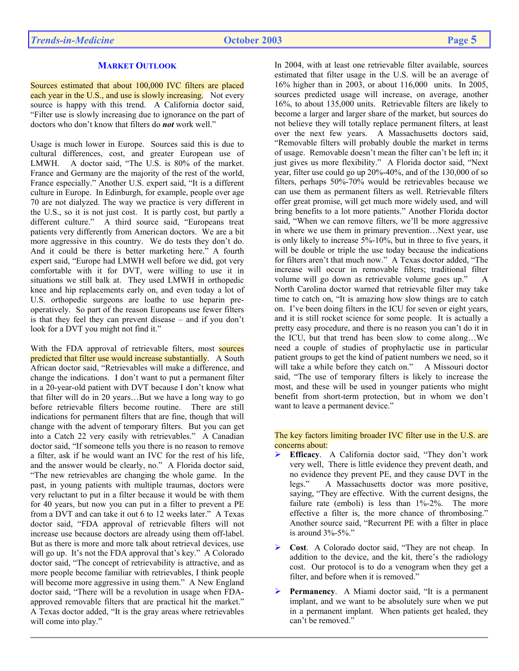# **MARKET OUTLOOK**

Sources estimated that about 100,000 IVC filters are placed each year in the U.S., and use is slowly increasing. Not every source is happy with this trend. A California doctor said, "Filter use is slowly increasing due to ignorance on the part of doctors who don't know that filters do *not* work well."

Usage is much lower in Europe. Sources said this is due to cultural differences, cost, and greater European use of LMWH. A doctor said, "The U.S. is 80% of the market. France and Germany are the majority of the rest of the world, France especially." Another U.S. expert said, "It is a different culture in Europe. In Edinburgh, for example, people over age 70 are not dialyzed. The way we practice is very different in the U.S., so it is not just cost. It is partly cost, but partly a different culture." A third source said, "Europeans treat patients very differently from American doctors. We are a bit more aggressive in this country. We do tests they don't do. And it could be there is better marketing here." A fourth expert said, "Europe had LMWH well before we did, got very comfortable with it for DVT, were willing to use it in situations we still balk at. They used LMWH in orthopedic knee and hip replacements early on, and even today a lot of U.S. orthopedic surgeons are loathe to use heparin preoperatively. So part of the reason Europeans use fewer filters is that they feel they can prevent disease – and if you don't look for a DVT you might not find it."

With the FDA approval of retrievable filters, most sources predicted that filter use would increase substantially. A South African doctor said, "Retrievables will make a difference, and change the indications. I don't want to put a permanent filter in a 20-year-old patient with DVT because I don't know what that filter will do in 20 years…But we have a long way to go before retrievable filters become routine. There are still indications for permanent filters that are fine, though that will change with the advent of temporary filters. But you can get into a Catch 22 very easily with retrievables." A Canadian doctor said, "If someone tells you there is no reason to remove a filter, ask if he would want an IVC for the rest of his life, and the answer would be clearly, no." A Florida doctor said, "The new retrievables are changing the whole game. In the past, in young patients with multiple traumas, doctors were very reluctant to put in a filter because it would be with them for 40 years, but now you can put in a filter to prevent a PE from a DVT and can take it out 6 to 12 weeks later." A Texas doctor said, "FDA approval of retrievable filters will not increase use because doctors are already using them off-label. But as there is more and more talk about retrieval devices, use will go up. It's not the FDA approval that's key." A Colorado doctor said, "The concept of retrievability is attractive, and as more people become familiar with retrievables, I think people will become more aggressive in using them." A New England doctor said, "There will be a revolution in usage when FDAapproved removable filters that are practical hit the market." A Texas doctor added, "It is the gray areas where retrievables will come into play."

In 2004, with at least one retrievable filter available, sources estimated that filter usage in the U.S. will be an average of 16% higher than in 2003, or about 116,000 units. In 2005, sources predicted usage will increase, on average, another 16%, to about 135,000 units. Retrievable filters are likely to become a larger and larger share of the market, but sources do not believe they will totally replace permanent filters, at least over the next few years. A Massachusetts doctors said, "Removable filters will probably double the market in terms of usage. Removable doesn't mean the filter can't be left in; it just gives us more flexibility." A Florida doctor said, "Next year, filter use could go up 20%-40%, and of the 130,000 of so filters, perhaps 50%-70% would be retrievables because we can use them as permanent filters as well. Retrievable filters offer great promise, will get much more widely used, and will bring benefits to a lot more patients." Another Florida doctor said, "When we can remove filters, we'll be more aggressive in where we use them in primary prevention…Next year, use is only likely to increase 5%-10%, but in three to five years, it will be double or triple the use today because the indications for filters aren't that much now." A Texas doctor added, "The increase will occur in removable filters; traditional filter volume will go down as retrievable volume goes up." North Carolina doctor warned that retrievable filter may take time to catch on, "It is amazing how slow things are to catch on. I've been doing filters in the ICU for seven or eight years, and it is still rocket science for some people. It is actually a pretty easy procedure, and there is no reason you can't do it in the ICU, but that trend has been slow to come along…We need a couple of studies of prophylactic use in particular patient groups to get the kind of patient numbers we need, so it will take a while before they catch on." A Missouri doctor said, "The use of temporary filters is likely to increase the most, and these will be used in younger patients who might benefit from short-term protection, but in whom we don't want to leave a permanent device."

## The key factors limiting broader IVC filter use in the U.S. are concerns about:

- ¾ **Efficacy**. A California doctor said, "They don't work very well, There is little evidence they prevent death, and no evidence they prevent PE, and they cause DVT in the legs." A Massachusetts doctor was more positive, saying, "They are effective. With the current designs, the failure rate (emboli) is less than 1%-2%. The more effective a filter is, the more chance of thrombosing." Another source said, "Recurrent PE with a filter in place is around 3%-5%."
- ¾ **Cost**. A Colorado doctor said, "They are not cheap. In addition to the device, and the kit, there's the radiology cost. Our protocol is to do a venogram when they get a filter, and before when it is removed."
- Permanency. A Miami doctor said, "It is a permanent implant, and we want to be absolutely sure when we put in a permanent implant. When patients get healed, they can't be removed."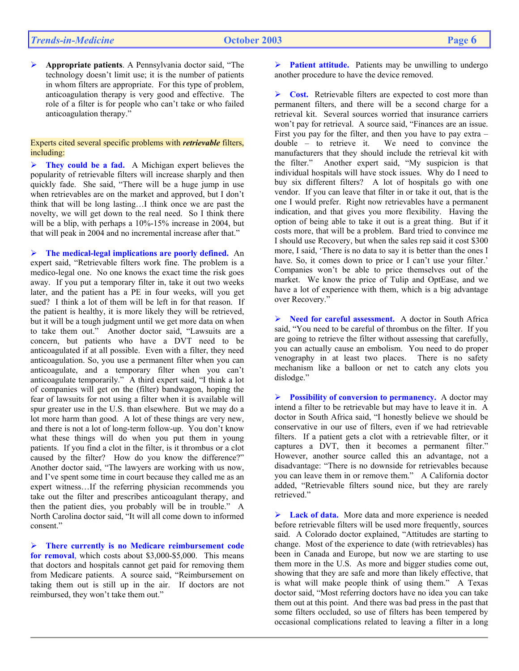¾ **Appropriate patients**. A Pennsylvania doctor said, "The technology doesn't limit use; it is the number of patients in whom filters are appropriate. For this type of problem, anticoagulation therapy is very good and effective. The role of a filter is for people who can't take or who failed anticoagulation therapy."

#### Experts cited several specific problems with *retrievable* filters, including:

¾ **They could be a fad.** A Michigan expert believes the popularity of retrievable filters will increase sharply and then quickly fade. She said, "There will be a huge jump in use when retrievables are on the market and approved, but I don't think that will be long lasting…I think once we are past the novelty, we will get down to the real need. So I think there will be a blip, with perhaps a 10%-15% increase in 2004, but that will peak in 2004 and no incremental increase after that."

¾ **The medical-legal implications are poorly defined.** An expert said, "Retrievable filters work fine. The problem is a medico-legal one. No one knows the exact time the risk goes away. If you put a temporary filter in, take it out two weeks later, and the patient has a PE in four weeks, will you get sued? I think a lot of them will be left in for that reason. If the patient is healthy, it is more likely they will be retrieved, but it will be a tough judgment until we get more data on when to take them out." Another doctor said, "Lawsuits are a concern, but patients who have a DVT need to be anticoagulated if at all possible. Even with a filter, they need anticoagulation. So, you use a permanent filter when you can anticoagulate, and a temporary filter when you can't anticoagulate temporarily." A third expert said, "I think a lot of companies will get on the (filter) bandwagon, hoping the fear of lawsuits for not using a filter when it is available will spur greater use in the U.S. than elsewhere. But we may do a lot more harm than good. A lot of these things are very new, and there is not a lot of long-term follow-up. You don't know what these things will do when you put them in young patients. If you find a clot in the filter, is it thrombus or a clot caused by the filter? How do you know the difference?" Another doctor said, "The lawyers are working with us now, and I've spent some time in court because they called me as an expert witness…If the referring physician recommends you take out the filter and prescribes anticoagulant therapy, and then the patient dies, you probably will be in trouble." A North Carolina doctor said, "It will all come down to informed consent."

¾ **There currently is no Medicare reimbursement code for removal**, which costs about \$3,000-\$5,000. This means that doctors and hospitals cannot get paid for removing them from Medicare patients. A source said, "Reimbursement on taking them out is still up in the air. If doctors are not reimbursed, they won't take them out."

¾ **Patient attitude.** Patients may be unwilling to undergo another procedure to have the device removed.

¾ **Cost.** Retrievable filters are expected to cost more than permanent filters, and there will be a second charge for a retrieval kit. Several sources worried that insurance carriers won't pay for retrieval. A source said, "Finances are an issue. First you pay for the filter, and then you have to pay extra – double – to retrieve it. We need to convince the manufacturers that they should include the retrieval kit with the filter." Another expert said, "My suspicion is that individual hospitals will have stock issues. Why do I need to buy six different filters? A lot of hospitals go with one vendor. If you can leave that filter in or take it out, that is the one I would prefer. Right now retrievables have a permanent indication, and that gives you more flexibility. Having the option of being able to take it out is a great thing. But if it costs more, that will be a problem. Bard tried to convince me I should use Recovery, but when the sales rep said it cost \$300 more, I said, 'There is no data to say it is better than the ones I have. So, it comes down to price or I can't use your filter.' Companies won't be able to price themselves out of the market. We know the price of Tulip and OptEase, and we have a lot of experience with them, which is a big advantage over Recovery."

¾ **Need for careful assessment.** A doctor in South Africa said, "You need to be careful of thrombus on the filter. If you are going to retrieve the filter without assessing that carefully, you can actually cause an embolism. You need to do proper venography in at least two places. There is no safety mechanism like a balloon or net to catch any clots you dislodge."

¾ **Possibility of conversion to permanency.** A doctor may intend a filter to be retrievable but may have to leave it in. A doctor in South Africa said, "I honestly believe we should be conservative in our use of filters, even if we had retrievable filters. If a patient gets a clot with a retrievable filter, or it captures a DVT, then it becomes a permanent filter." However, another source called this an advantage, not a disadvantage: "There is no downside for retrievables because you can leave them in or remove them." A California doctor added, "Retrievable filters sound nice, but they are rarely retrieved."

¾ **Lack of data.** More data and more experience is needed before retrievable filters will be used more frequently, sources said. A Colorado doctor explained, "Attitudes are starting to change. Most of the experience to date (with retrievables) has been in Canada and Europe, but now we are starting to use them more in the U.S. As more and bigger studies come out, showing that they are safe and more than likely effective, that is what will make people think of using them." A Texas doctor said, "Most referring doctors have no idea you can take them out at this point. And there was bad press in the past that some filters occluded, so use of filters has been tempered by occasional complications related to leaving a filter in a long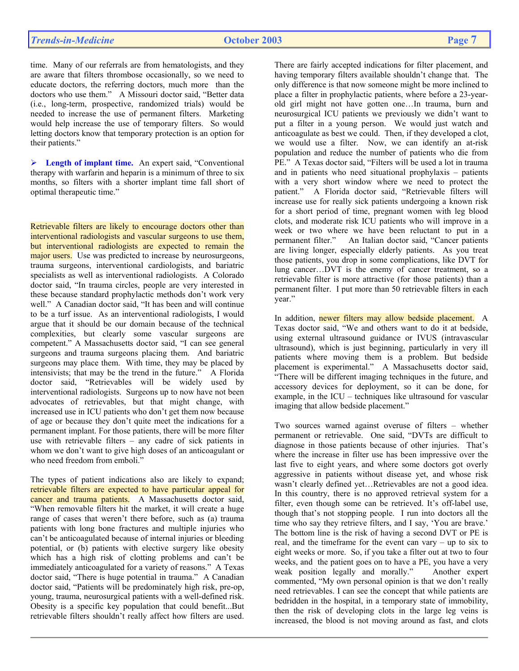time. Many of our referrals are from hematologists, and they are aware that filters thrombose occasionally, so we need to educate doctors, the referring doctors, much more than the doctors who use them." A Missouri doctor said, "Better data (i.e., long-term, prospective, randomized trials) would be needed to increase the use of permanent filters. Marketing would help increase the use of temporary filters. So would letting doctors know that temporary protection is an option for their patients."

¾ **Length of implant time.** An expert said, "Conventional therapy with warfarin and heparin is a minimum of three to six months, so filters with a shorter implant time fall short of optimal therapeutic time."

Retrievable filters are likely to encourage doctors other than interventional radiologists and vascular surgeons to use them, but interventional radiologists are expected to remain the major users. Use was predicted to increase by neurosurgeons, trauma surgeons, interventional cardiologists, and bariatric specialists as well as interventional radiologists. A Colorado doctor said, "In trauma circles, people are very interested in these because standard prophylactic methods don't work very well." A Canadian doctor said, "It has been and will continue to be a turf issue. As an interventional radiologists, I would argue that it should be our domain because of the technical complexities, but clearly some vascular surgeons are competent." A Massachusetts doctor said, "I can see general surgeons and trauma surgeons placing them. And bariatric surgeons may place them. With time, they may be placed by intensivists; that may be the trend in the future." A Florida doctor said, "Retrievables will be widely used by interventional radiologists. Surgeons up to now have not been advocates of retrievables, but that might change, with increased use in ICU patients who don't get them now because of age or because they don't quite meet the indications for a permanent implant. For those patients, there will be more filter use with retrievable filters – any cadre of sick patients in whom we don't want to give high doses of an anticoagulant or who need freedom from emboli."

The types of patient indications also are likely to expand; retrievable filters are expected to have particular appeal for cancer and trauma patients. A Massachusetts doctor said, "When removable filters hit the market, it will create a huge range of cases that weren't there before, such as (a) trauma patients with long bone fractures and multiple injuries who can't be anticoagulated because of internal injuries or bleeding potential, or (b) patients with elective surgery like obesity which has a high risk of clotting problems and can't be immediately anticoagulated for a variety of reasons." A Texas doctor said, "There is huge potential in trauma." A Canadian doctor said, "Patients will be predominately high risk, pre-op, young, trauma, neurosurgical patients with a well-defined risk. Obesity is a specific key population that could benefit...But retrievable filters shouldn't really affect how filters are used.

There are fairly accepted indications for filter placement, and having temporary filters available shouldn't change that. The only difference is that now someone might be more inclined to place a filter in prophylactic patients, where before a 23-yearold girl might not have gotten one…In trauma, burn and neurosurgical ICU patients we previously we didn't want to put a filter in a young person. We would just watch and anticoagulate as best we could. Then, if they developed a clot, we would use a filter. Now, we can identify an at-risk population and reduce the number of patients who die from PE." A Texas doctor said, "Filters will be used a lot in trauma and in patients who need situational prophylaxis – patients with a very short window where we need to protect the patient." A Florida doctor said, "Retrievable filters will increase use for really sick patients undergoing a known risk for a short period of time, pregnant women with leg blood clots, and moderate risk ICU patients who will improve in a week or two where we have been reluctant to put in a permanent filter." An Italian doctor said, "Cancer patients are living longer, especially elderly patients. As you treat those patients, you drop in some complications, like DVT for lung cancer…DVT is the enemy of cancer treatment, so a retrievable filter is more attractive (for those patients) than a permanent filter. I put more than 50 retrievable filters in each year."

In addition, newer filters may allow bedside placement. A Texas doctor said, "We and others want to do it at bedside, using external ultrasound guidance or IVUS (intravascular ultrasound), which is just beginning, particularly in very ill patients where moving them is a problem. But bedside placement is experimental." A Massachusetts doctor said, "There will be different imaging techniques in the future, and accessory devices for deployment, so it can be done, for example, in the ICU – techniques like ultrasound for vascular imaging that allow bedside placement."

Two sources warned against overuse of filters – whether permanent or retrievable. One said, "DVTs are difficult to diagnose in those patients because of other injuries. That's where the increase in filter use has been impressive over the last five to eight years, and where some doctors got overly aggressive in patients without disease yet, and whose risk wasn't clearly defined yet…Retrievables are not a good idea. In this country, there is no approved retrieval system for a filter, even though some can be retrieved. It's off-label use, though that's not stopping people. I run into doctors all the time who say they retrieve filters, and I say, 'You are brave.' The bottom line is the risk of having a second DVT or PE is real, and the timeframe for the event can vary – up to six to eight weeks or more. So, if you take a filter out at two to four weeks, and the patient goes on to have a PE, you have a very weak position legally and morally." Another expert commented, "My own personal opinion is that we don't really need retrievables. I can see the concept that while patients are bedridden in the hospital, in a temporary state of immobility, then the risk of developing clots in the large leg veins is increased, the blood is not moving around as fast, and clots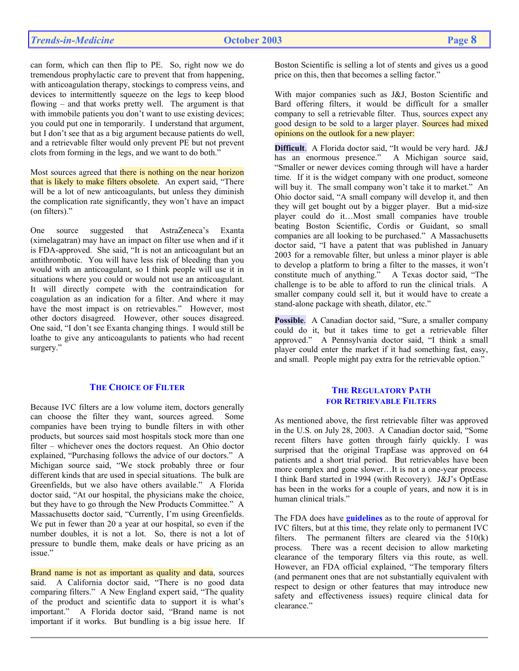can form, which can then flip to PE. So, right now we do tremendous prophylactic care to prevent that from happening, with anticoagulation therapy, stockings to compress veins, and devices to intermittently squeeze on the legs to keep blood flowing – and that works pretty well. The argument is that with immobile patients you don't want to use existing devices; you could put one in temporarily. I understand that argument, but I don't see that as a big argument because patients do well, and a retrievable filter would only prevent PE but not prevent clots from forming in the legs, and we want to do both."

Most sources agreed that there is nothing on the near horizon that is likely to make filters obsolete. An expert said, "There will be a lot of new anticoagulants, but unless they diminish the complication rate significantly, they won't have an impact (on filters)."

One source suggested that AstraZeneca's Exanta (ximelagatran) may have an impact on filter use when and if it is FDA-approved. She said, "It is not an anticoagulant but an antithrombotic. You will have less risk of bleeding than you would with an anticoagulant, so I think people will use it in situations where you could or would not use an anticoagulant. It will directly compete with the contraindication for coagulation as an indication for a filter. And where it may have the most impact is on retrievables." However, most other doctors disagreed. However, other souces disagreed. One said, "I don't see Exanta changing things. I would still be loathe to give any anticoagulants to patients who had recent surgery."

## **THE CHOICE OF FILTER**

Because IVC filters are a low volume item, doctors generally can choose the filter they want, sources agreed. Some companies have been trying to bundle filters in with other products, but sources said most hospitals stock more than one filter – whichever ones the doctors request. An Ohio doctor explained, "Purchasing follows the advice of our doctors." A Michigan source said, "We stock probably three or four different kinds that are used in special situations. The bulk are Greenfields, but we also have others available." A Florida doctor said, "At our hospital, the physicians make the choice, but they have to go through the New Products Committee." A Massachusetts doctor said, "Currently, I'm using Greenfields. We put in fewer than 20 a year at our hospital, so even if the number doubles, it is not a lot. So, there is not a lot of pressure to bundle them, make deals or have pricing as an issue"

Brand name is not as important as quality and data, sources said. A California doctor said, "There is no good data comparing filters." A New England expert said, "The quality of the product and scientific data to support it is what's important." A Florida doctor said, "Brand name is not important if it works. But bundling is a big issue here. If

Boston Scientific is selling a lot of stents and gives us a good price on this, then that becomes a selling factor."

With major companies such as J&J, Boston Scientific and Bard offering filters, it would be difficult for a smaller company to sell a retrievable filter. Thus, sources expect any good design to be sold to a larger player. Sources had mixed opinions on the outlook for a new player:

**Difficult**. A Florida doctor said, "It would be very hard. J&J has an enormous presence." A Michigan source said, "Smaller or newer devices coming through will have a harder time. If it is the widget company with one product, someone will buy it. The small company won't take it to market." An Ohio doctor said, "A small company will develop it, and then they will get bought out by a bigger player. But a mid-size player could do it…Most small companies have trouble beating Boston Scientific, Cordis or Guidant, so small companies are all looking to be purchased." A Massachusetts doctor said, "I have a patent that was published in January 2003 for a removable filter, but unless a minor player is able to develop a platform to bring a filter to the masses, it won't constitute much of anything." A Texas doctor said, "The constitute much of anything." challenge is to be able to afford to run the clinical trials. A smaller company could sell it, but it would have to create a stand-alone package with sheath, dilator, etc."

**Possible**. A Canadian doctor said, "Sure, a smaller company could do it, but it takes time to get a retrievable filter approved." A Pennsylvania doctor said, "I think a small player could enter the market if it had something fast, easy, and small. People might pay extra for the retrievable option."

# **THE REGULATORY PATH FOR RETRIEVABLE FILTERS**

As mentioned above, the first retrievable filter was approved in the U.S. on July 28, 2003. A Canadian doctor said, "Some recent filters have gotten through fairly quickly. I was surprised that the original TrapEase was approved on 64 patients and a short trial period. But retrievables have been more complex and gone slower…It is not a one-year process. I think Bard started in 1994 (with Recovery). J&J's OptEase has been in the works for a couple of years, and now it is in human clinical trials."

The FDA does have **guidelines** as to the route of approval for IVC filters, but at this time, they relate only to permanent IVC filters. The permanent filters are cleared via the  $510(k)$ process. There was a recent decision to allow marketing clearance of the temporary filters via this route, as well. However, an FDA official explained, "The temporary filters (and permanent ones that are not substantially equivalent with respect to design or other features that may introduce new safety and effectiveness issues) require clinical data for clearance."